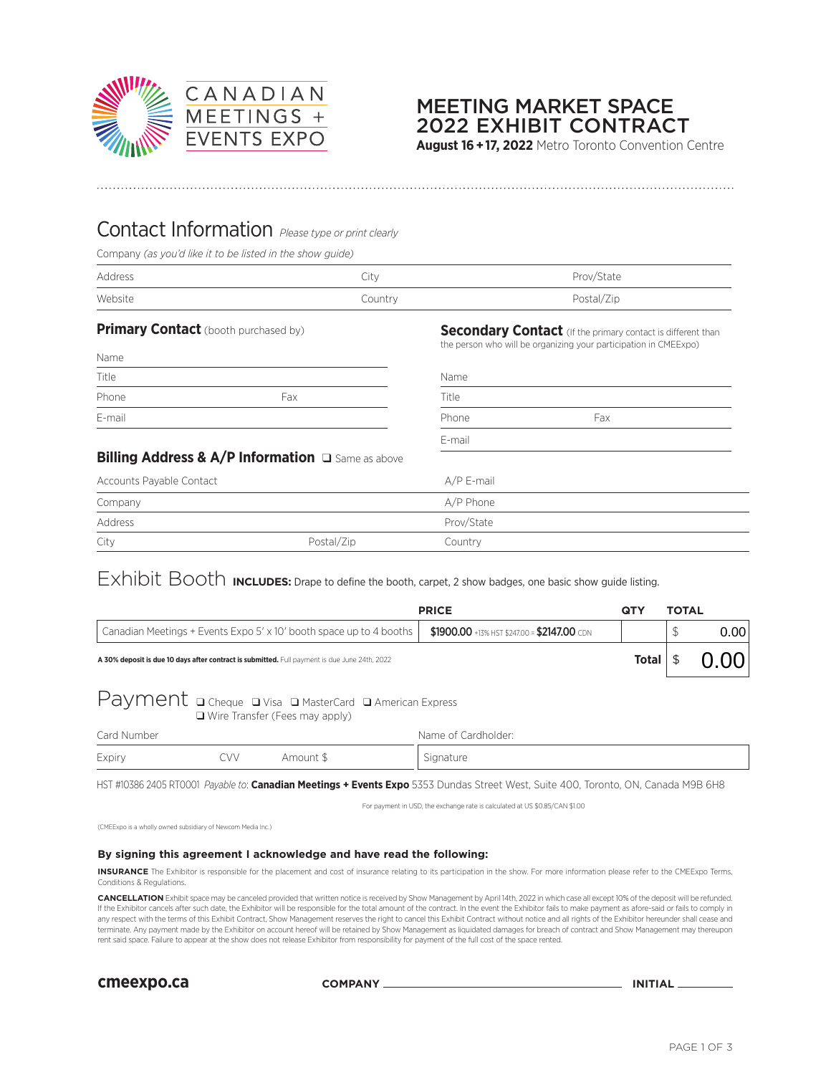

### 2022 EXHIBIT CONTRACT MEETING MARKET SPACE

**August 16 + 17, 2022** Metro Toronto Convention Centre

### Contact Information *Please type or print clearly*

Company *(as you'd like it to be listed in the show guide)*

| Address | City    | Prov/State |
|---------|---------|------------|
| Website | Country | Postal/Zip |

| Name   |     |
|--------|-----|
| Title  |     |
| Phone  | Fax |
| E-mail |     |

**Primary Contact** (booth purchased by) **Secondary Contact** (If the primary contact is different than the person who will be organizing your participation in CMEExpo)

| Title                                             |            | Name       |     |  |  |
|---------------------------------------------------|------------|------------|-----|--|--|
| Phone                                             | Fax        | Title      |     |  |  |
| E-mail                                            |            | Phone      | Fax |  |  |
|                                                   |            | E-mail     |     |  |  |
| Billing Address & A/P Information a Same as above |            |            |     |  |  |
| Accounts Payable Contact                          |            | A/P E-mail |     |  |  |
| Company                                           |            | A/P Phone  |     |  |  |
| Address                                           |            | Prov/State |     |  |  |
| City                                              | Postal/Zip | Country    |     |  |  |

## Exhibit Booth **INCLUDES:** Drape to define the booth, carpet, 2 show badges, one basic show guide listing.

| <b>PRICE</b>                                                                                  |                                             |  | <b>TOTAL</b> |      |      |
|-----------------------------------------------------------------------------------------------|---------------------------------------------|--|--------------|------|------|
| Canadian Meetings + Events Expo 5' x 10' booth space up to 4 booths                           | \$1900.00 +13% HST \$247.00 = \$2147.00 CDN |  |              |      | 0.00 |
| A 30% deposit is due 10 days after contract is submitted. Full payment is due June 24th, 2022 |                                             |  |              | 0.00 |      |
| Payment a Cheque a Visa a MasterCard a American Express                                       |                                             |  |              |      |      |

❑ Wire Transfer (Fees may apply)

| Card Number |      |           | Name of Cardholder: |  |  |
|-------------|------|-----------|---------------------|--|--|
| Expiry      | ^VV. | Amount \$ | Signature           |  |  |

HST #10386 2405 RT0001 *Payable to*: **Canadian Meetings + Events Expo** 5353 Dundas Street West, Suite 400, Toronto, ON, Canada M9B 6H8

For payment in USD, the exchange rate is calculated at US \$0.85/CAN \$1.00

(CMEExpo is a wholly owned subsidiary of Newcom Media Inc.)

### **By signing this agreement I acknowledge and have read the following:**

**INSURANCE** The Exhibitor is responsible for the placement and cost of insurance relating to its participation in the show. For more information please refer to the CMEExpo Terms, Conditions & Regulations.

**CANCELLATION** Exhibit space may be canceled provided that written notice is received by Show Management by April 14th, 2022 in which case all except 10% of the deposit will be refunded. If the Exhibitor cancels after such date, the Exhibitor will be responsible for the total amount of the contract. In the event the Exhibitor fails to make payment as afore-said or fails to comply in any respect with the terms of this Exhibit Contract, Show Management reserves the right to cancel this Exhibit Contract without notice and all rights of the Exhibitor hereunder shall cease and terminate. Any payment made by the Exhibitor on account hereof will be retained by Show Management as liquidated damages for breach of contract and Show Management may thereupon rent said space. Failure to appear at the show does not release Exhibitor from responsibility for payment of the full cost of the space rented.

**cmeexpo.ca COMPANY INITIAL**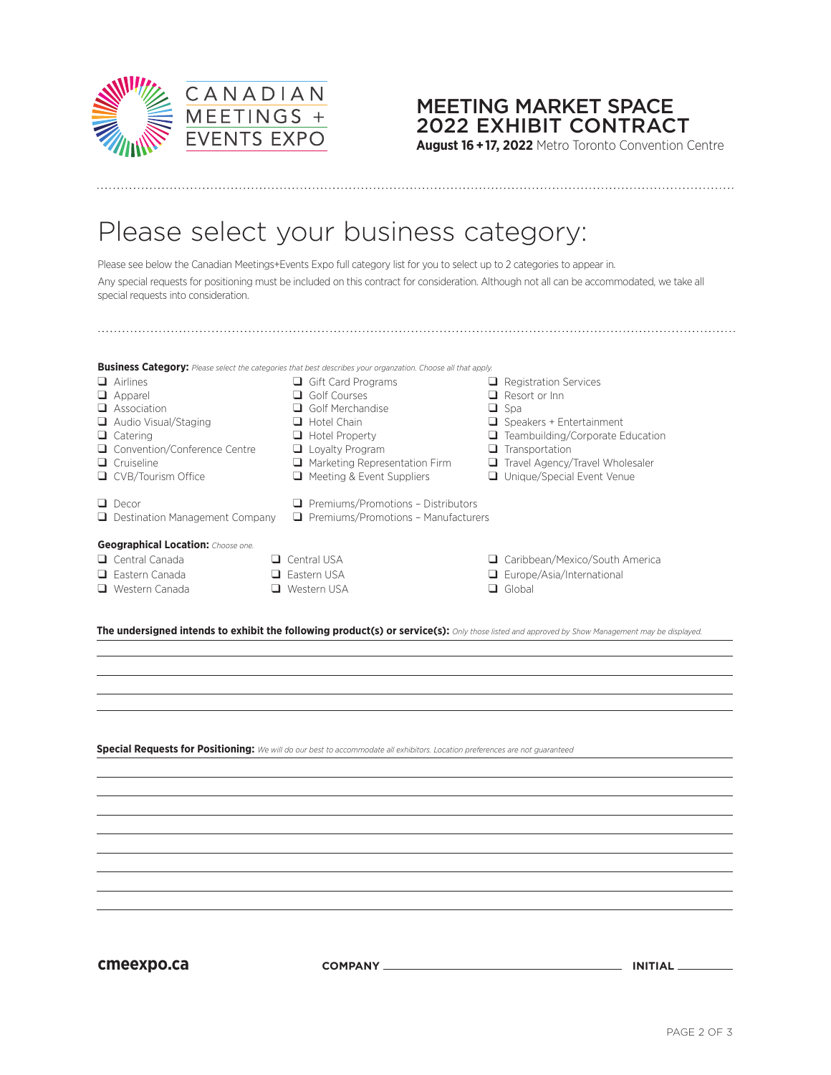

### 2022 EXHIBIT CONTRACT MEETING MARKET SPACE

**August 16 + 17, 2022** Metro Toronto Convention Centre

# Please select your business category:

Please see below the Canadian Meetings+Events Expo full category list for you to select up to 2 categories to appear in. Any special requests for positioning must be included on this contract for consideration. Although not all can be accommodated, we take all special requests into consideration.

|                                                                                                                                                | <b>Business Category:</b> Please select the categories that best describes your organzation. Choose all that apply. |   |                                  |  |
|------------------------------------------------------------------------------------------------------------------------------------------------|---------------------------------------------------------------------------------------------------------------------|---|----------------------------------|--|
| $\Box$ Airlines                                                                                                                                | $\Box$ Gift Card Programs                                                                                           |   | $\Box$ Registration Services     |  |
| $\Box$ Apparel                                                                                                                                 | Golf Courses                                                                                                        |   | Resort or Inn                    |  |
| Association<br>ப                                                                                                                               | Golf Merchandise                                                                                                    |   | $\Box$ Spa                       |  |
| Audio Visual/Staging                                                                                                                           | $\Box$ Hotel Chain                                                                                                  |   | Speakers + Entertainment         |  |
| $\Box$ Catering                                                                                                                                | $\Box$ Hotel Property                                                                                               |   | Teambuilding/Corporate Education |  |
| □ Convention/Conference Centre                                                                                                                 | $\Box$ Loyalty Program                                                                                              | ⊔ | Transportation                   |  |
| $\Box$ Cruiseline                                                                                                                              | $\Box$ Marketing Representation Firm                                                                                | ⊔ | Travel Agency/Travel Wholesaler  |  |
| $\Box$ CVB/Tourism Office                                                                                                                      | $\Box$ Meeting & Event Suppliers                                                                                    | ப | Unique/Special Event Venue       |  |
| $\Box$ Decor<br>$\Box$ Destination Management Company                                                                                          | $\Box$ Premiums/Promotions - Distributors<br>$\Box$ Premiums/Promotions - Manufacturers                             |   |                                  |  |
| <b>Geographical Location:</b> Choose one.                                                                                                      |                                                                                                                     |   |                                  |  |
| $\Box$ Central Canada<br>ப                                                                                                                     | Central USA                                                                                                         | ⊔ | Caribbean/Mexico/South America   |  |
| $\Box$ Fastern Canada<br>ப                                                                                                                     | Fastern USA                                                                                                         |   | $\Box$ Europe/Asia/International |  |
| Western Canada<br>ப                                                                                                                            | Western USA                                                                                                         |   | $\Box$ Global                    |  |
|                                                                                                                                                |                                                                                                                     |   |                                  |  |
| The undersigned intends to exhibit the following product(s) or service(s): Only those listed and approved by Show Management may be displayed. |                                                                                                                     |   |                                  |  |

**Special Requests for Positioning:** *We will do our best to accommodate all exhibitors. Location preferences are not guaranteed*

**cmeexpo.ca COMPANY INITIAL**